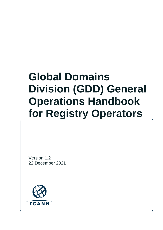# **Global Domains Division (GDD) General Operations Handbook for Registry Operators**

Version 1.2 22 December 2021

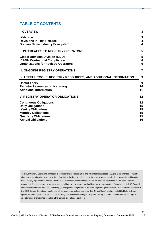#### **TABLE OF CONTENTS**

| <b>I. OVERVIEW</b>                                                                 | 3                            |
|------------------------------------------------------------------------------------|------------------------------|
| Welcome<br><b>Revisions in This Release</b>                                        | 3<br>$\overline{\mathbf{r}}$ |
| <b>Domain Name Industry Ecosystem</b>                                              | $\overline{4}$               |
| <b>II. INTERFACES TO REGISTRY OPERATORS</b>                                        | 5                            |
| <b>Global Domains Division (GDD)</b>                                               | 5                            |
| <b>ICANN Contractual Compliance</b><br><b>Organizations for Registry Operators</b> | 6<br>6                       |
| III. ONGOING REGISTRY OPERATIONS                                                   | 7                            |
| IV. USEFUL TOOLS, REGISTRY RESOURCES, AND ADDITIONAL INFORMATION                   | 9                            |
| <b>Useful Tools</b>                                                                | 9                            |
| <b>Registry Resources on icann.org</b><br><b>Additional Information</b>            | 10<br>11                     |
| <b>V. REGISTRY OPERATOR OBLIGATIONS</b>                                            | 12                           |
| <b>Continuous Obligations</b>                                                      | 12                           |
| <b>Daily Obligations</b>                                                           | 15                           |
| <b>Weekly Obligations</b>                                                          | 15                           |
| <b>Monthly Obligations</b><br><b>Quarterly Obligations</b>                         | 15<br>15                     |
| <b>Annual Obligations</b>                                                          | 16                           |
|                                                                                    |                              |

This GDD General Operations Handbook is provided for general education and informational purposes only, and is not intended to modify, alter, amend or otherwise supplement the rights, duties, liabilities or obligations of the registry operator under the terms and conditions of the base Registry Agreement or policies. This GDD General Operations Handbook should not serve as a substitute for the base Registry Agreement. As this document is meant to provide a high-level overview, you should not act or rely upon the information in this GDD General Operations Handbook without first confirming your obligations or rights under the base Registry Agreement itself. The information contained in this GDD General Operations Handbook shall not be deemed as legal advice by ICANN, and ICANN shall not be held liable for indirect, special, incidental, punitive or consequential damages of any kind including loss of profits, arising under or in connection with the registry operator's use of or reliance upon this GDD General Operations Handbook.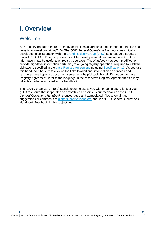## <span id="page-2-0"></span>**I. Overview**

#### <span id="page-2-1"></span>Welcome

As a registry operator, there are many obligations at various stages throughout the life of a generic top-level domain (gTLD). The *GDD General Operations Handbook* was initially developed in collaboration with the [Brand Registry Group \(BRG\)](http://brandregistrygroup.org/) as a resource targeted toward .BRAND TLD registry operators. After development, it became apparent that this information may be useful to all registry operators. The *Handbook* has been modified to provide high-level information pertaining to ongoing registry operations required to fulfill the obligations specified in the [base Registry Agreement](https://newgtlds.icann.org/sites/default/files/agreements/agreement-approved-31jul17-en.html) includin[g Specification 13.](https://newgtlds.icann.org/sites/default/files/agreements/agreement-approved-specification-13-21jan21-en.pdf) As you use this handbook, be sure to click on the links to additional information on services and resources. We hope this document serves as a helpful tool. For gTLDs not on the base Registry Agreement, refer to the language in the respective Registry Agreement as it may differ from what is outlined in this handbook.

The ICANN organization (org) stands ready to assist you with ongoing operations of your gTLD to ensure that it operates as smoothly as possible. Your feedback on the *GDD General Operations Handbook* is encouraged and appreciated. Please email any suggestions or comments to [globalsupport@icann.org](mailto:globalsupport@icann.org) and use "GDD General Operations" Handbook Feedback" in the subject line.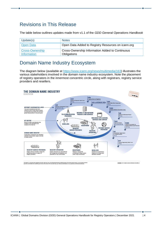#### <span id="page-3-0"></span>Revisions in This Release

The table below outlines updates made from v1.1 of the *GDD General Operations Handbook*

| Update(s)                             | <b>Notes</b>                                                   |
|---------------------------------------|----------------------------------------------------------------|
| <b>Open Data</b>                      | Open Data Added to Registry Resources on icann.org             |
| <b>Cross-Ownership</b><br>Information | Cross-Ownership Information Added to Continuous<br>Obligations |

#### <span id="page-3-1"></span>Domain Name Industry Ecosystem

The diagram below (available at [https://www.icann.org/news/multimedia/163\)](https://www.icann.org/news/multimedia/163) illustrates the various stakeholders involved in the domain name industry ecosystem. Note the placement of registry operators in the innermost concentric circle, along with registrars, registry service providers and resellers.



This graphic is a living document, designed to provide a high level<br>only and is not intended to be a definitive guide. Some of the nam

**@① 2013 | Creative Con**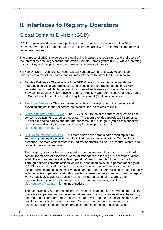## <span id="page-4-0"></span>**II. Interfaces to Registry Operators**

#### <span id="page-4-1"></span>Global Domains Division (GDD)

ICANN implements domain name policies through contracts and services. The Global Domains Division (GDD) of the org is the unit that engages with the Internet community to implement policies.

The purpose of GDD is to serve the global public interest, the registrants and end-users of the Internet by ensuring a secure and stable Domain Name System (DNS), while promoting trust, choice, and competition in the domain name service industry.

Service Delivery, Technical Services, Global Support Center and GDD Accounts and Services are a few of the teams that you may interact with under the GDS umbrella.

- **Service Delivery –** The mission of the GDD Operations team is to deliver defined, repeatable services and processes to applicants and contracted parties in a timely, consistent and predictable manner. Examples of such services include: Registry Services Evaluation Policy [\(RSEP\)](https://www.icann.org/resources/pages/rsep-2014-02-19-en) requests, Registry Operator Name Change, Change of Control, and Material Subcontracting Arrangement (MSA) assignments.
- [Technical Services](https://www.icann.org/resources/pages/technical-functions-gdd) **–** This team is responsible for managing technical projects and providing subject matter expertise on technical issues related to the DNS.
- [Global Support Center \(GSC\)](https://www.icann.org/resources/pages/customer-support-2015-06-22-en) **–** The GSC is the first point of contact for questions and concerns pertaining to a registry operator. The team provides global, 5x24 support to ICANN contracted parties and the Internet community at large. If you have a question, open a general inquiry case in the Naming Services portal or email [globalsupport@icann.org.](mailto:globalsupport@icann.org)
- [GDD Accounts and Services](https://www.icann.org/resources/pages/registries/registries-en) **–** This team serves the domain name marketplace by supporting the registry operators to fulfill their contractual obligations. With a global presence, the team collaborates with registry operators to ensure a secure, stable, and resilient domain namespace.

Each registry operator has an assigned account manager who serves as its point of contact for matters of escalation. Account managers are the registry operator's liaison within the org and represent registry operators' needs throughout the organization. Through periodic communications via email, scheduled calls, or in-person meetings at ICANN events, account managers are able to stay abreast of a registry operator's business needs and challenges. By having an open line of communication, either directly with the registry operator or with third parties representing registries, account managers work proactively to address concerns and provide educational resources and opportunities. If you do not know who your account manager is, email [globalsupport@icann.org](mailto:globalsupport@icann.org) for an introduction.

The base Registry Agreement defines the rights, obligations, and provisions for registry operators to operate their top-level domain names. In circumstances where the registry operator must inform or request consent or approval from the org, services have been developed to facilitate these processes. Service managers are responsible for the planning, design, implementation, and maintenance of these registry services.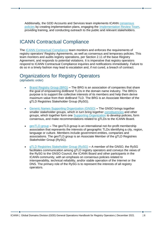Additionally, the GDD Accounts and Services team implements ICANN [consensus](https://www.icann.org/resources/pages/registrars/consensus-policies-en)  [policies](https://www.icann.org/resources/pages/registrars/consensus-policies-en) by creating implementation plans, engaging the [Implementation Review Team,](https://www.icann.org/policy/implementation) providing training, and conducting outreach to the public and relevant stakeholders.

#### <span id="page-5-0"></span>ICANN Contractual Compliance

The [ICANN Contractual Compliance](https://www.icann.org/resources/pages/approach-processes-2012-02-25-en) team monitors and enforces the requirements of registry operators' Registry Agreements, as well as consensus and temporary policies. This team monitors and audits registry operations, per Section 2.11 of the base Registry Agreement, and responds to potential violations. It is imperative that registry operators respond to ICANN Contractual Compliance inquiries and notifications immediately. Failure to do so in a timely fashion may lead to escalation and, if not cured, a breach of contract.

#### <span id="page-5-1"></span>Organizations for Registry Operators

(alphabetic order)

- [Brand Registry Group \(BRG\)](http://brandregistrygroup.org/) **–** The BRG is an association of companies that share the goal of empowering dotBrand TLDs in the domain name industry. The BRG's purpose is to support the collective interests of its members and help them derive maximum value from their dotBrand TLD. The BRG is an Associate Member of the gTLD Registries Stakeholder Group (RySG).
- [Generic Names Supporting Organization \(GNSO\)](https://gnso.icann.org/en/) **–** The GNSO brings together smaller stakeholder groups, which in turn bring together [constituencies](https://icannwiki.org/Constituency) and other groups, which together form one [Supporting Organization](https://icannwiki.org/SO) to develop policies, form consensus, and make recommendations related to gTLDs to the ICANN Board.
- [geoTLD.group](https://geotld.group/) **–** The geoTLD.group is an international not-for-profit membership association that represents the interests of geographic TLDs identifying a city, region, language or culture. Members include government entities, companies and associations. The geoTLD.group is an Associate Member of the gTLD Registries Stakeholder Group (RySG).
- [gTLD Registries Stakeholder Group \(RySG\)](http://www.rysg.info/) **–** A member of the GNSO, the RySG facilitates communication among gTLD registry operators and conveys the views of the RySG to the GNSO Council, the ICANN Board and other participants in the ICANN community, with an emphasis on consensus policies related to interoperability, technical reliability, and/or stable operation of the Internet or the DNS. The primary role of the RySG is to represent the interests of all registry operators.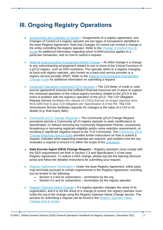## <span id="page-6-0"></span>**III. Ongoing Registry Operations**

- [Assignments and Changes of Control](https://www.icann.org/resources/change-of-control) **–** Assignments of a registry agreement, and Changes of Control of a registry operator are two types of transactions identified in the base Registry Agreement. Note that Changes of Control can involve a change in the entity controlling the registry operator. Refer to the [Change of Control How to](https://www.icann.org/en/system/files/files/change-of-control-guide-13dec17-en.pdf)  [Guide](https://www.icann.org/en/system/files/files/change-of-control-guide-13dec17-en.pdf) for additional information regarding which ICANN process applies to a particular transaction, and on how to submit a request.
- [Material Subcontracting Arrangement \(MSA\) Change](https://www.icann.org/resources/material-subcontracting-arrangement) **–** An MSA change is a change to any subcontracting arrangement related to one or more of the Critical Functions of a gTLD registry, such as DNS resolution. This typically refers to a registry changing its back-end registry operator, also known as a back-end service provider or a registry service provider (RSP). Refer to the [Material Subcontracting Arrangement](https://www.icann.org/en/system/files/files/msa-change-guide-15dec21-en.pdf)  [Change Guide](https://www.icann.org/en/system/files/files/msa-change-guide-15dec21-en.pdf) for additional information on submitting a request.
- [Continued Operations Instrument \(COI\) Services](https://www.icann.org/resources/pages/coi-2015-09-28-en) **–** The COI (letter of credit or cash escrow agreement) ensures that sufficient financial resources are in place to support the continued operation of the critical registry functions related to the gTLD in the event of problem with the registry's operation of the gTLD. The COI Obligation Release Service facilitates the release of COI(s) that are no longer required once ROs fulfill their 6-year COI obligation per Specification 8 of the RA. The COI Amendment Service facilitates requests for changes to the value of a COI or its details (e.g. final expiry date).
- Community gTLD [Change Requests](https://www.icann.org/resources/pages/community-gtld-change-requests-en) **–** The Community gTLD Change Request procedure permits a Community gTLD registry operator to seek modifications to Specification 12 without removing the Community Registration Policies, excessively broadening or narrowing registrant eligibility and/or name selection requirements, or resulting in significant negative impact to the TLD Community. The [Community gTLD](https://www.icann.org/en/system/files/files/community-gtld-change-requests-guide-13jul18-en.pdf)  [Change Requests How to Guide](https://www.icann.org/en/system/files/files/community-gtld-change-requests-guide-13jul18-en.pdf) provides further instructions on how to submit a request, indicates what supporting materials are required, and explains how the org evaluates a request to ensure it is within the scope of the [procedure.](https://www.icann.org/resources/pages/community-gtld-change-requests-procedure-2018-06-01-en)
- **Data Escrow Agent (DEA) Change Request –** Registry operators must comply with the DEA requirements set forth in Section 2.3 and Specification 2 of the base Registry Agreement. To submit a DEA change, please log into the Naming Services portal and follow the detailed instructions for submitting your request.
- [Registry Agreement Termination](https://www.icann.org/resources/pages/gtld-registry-agreement-termination-2015-10-09-en) **–** Under the base Registry Agreement, either party may terminate pursuant to certain requirements in the Registry Agreement, including but not limited to the following:
	- Section 4.3 and its subsections termination by the org
	- Section 4.4 and its subsections termination by the registry operator
- [Registry Operator Name Change](https://www.icann.org/resources/pages/registry-operator-name-change) **–** If a registry operator changes the name of its organization, and it is not the result of a change of control, the registry operator must notify the org of the change using the Registry Operator Name Change service. The process for submitting a request can be found in the [Registry Operator Name](https://www.icann.org/en/system/files/files/registry-operator-name-change-25sep17-en.pdf)  [Change How to Guide.](https://www.icann.org/en/system/files/files/registry-operator-name-change-25sep17-en.pdf)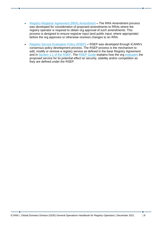- [Registry-Registrar Agreement \(RRA\) Amendment](https://www.icann.org/resources/pages/rra-amendment-2021-03-31-en) **–** The RRA Amendment process was developed for consideration of proposed amendments to RRAs where the registry operator is required to obtain org approval of such amendments. This process is designed to ensure registrar input (and public input, where appropriate) before the org approves or otherwise resolves changes to an RRA.
- [Registry Service Evaluation Policy \(RSEP\)](https://www.icann.org/resources/pages/rsep-2014-02-19-en) **–** RSEP was developed through ICANN's consensus policy development process. The RSEP process is the mechanism to add, modify or remove a registry service as defined in the base Registry Agreement and in [Section 1.1 of the RSEP.](https://www.icann.org/resources/pages/registries/rsep/policy-en) The [RSEP Guide](https://www.icann.org/en/system/files/files/rsep-how-to-guide-04jun21-en.pdf) explains how the org evaluates the proposed service for its potential effect on security, stability and/or competition as they are defined under the RSEP.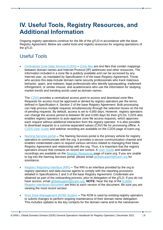## <span id="page-8-0"></span>**IV. Useful Tools, Registry Resources, and Additional Information**

Ongoing registry operations continue for the life of the gTLD in accordance with the base Registry Agreement. Below are useful tools and registry resources for ongoing operations of the gTLD.

#### <span id="page-8-1"></span>Useful Tools

• [Centralized Zone Data Service \(CZDS\)](https://www.icann.org/resources/pages/czds-2014-03-03-en) **–** [Zone files](https://czds.icann.org/en/help/what-are-tld-zone-files) are text files that contain mappings between domain names and Internet Protocol (IP) addresses and other resources. The information included in a zone file is publicly available and can be accessed by any Internet user, as mandated by Specification 4 of the base Registry Agreement. Those who access this data include domain name security professionals who track malicious behavior, spam, and malware; legal professionals who identify typosquatting, trademark infringement, or similar misuse; and academicians who use the information for studying market trends and trending words used as domain names.

The [CZDS](https://czds.icann.org/en) provides a centralized access point to access and download zone files. Requests for access must be approved or denied by registry operators per the terms defined in Specification 4, Section 2 of the base Registry Agreement. Bulk processing can help process multiple requests simultaneously through the selection boxes on the list of pending requests. By default, access is set to 4,000 days. However, registry operators can change the access period to between 90 and 4,000 days for their gTLDs. CZDS also enables registry operators to auto-approve zone file access requests, which approves each request without additional interaction from the registry operator. It is also possible to download requests to a comma-separated values (CSV) file for processing offline. A [CZDS User Guide](https://www.icann.org/en/system/files/files/czds-nsp-user-guide-25jan19-en.pdf) and webinar recording are available on the CZDS page of icann.org.

- [Naming Services portal](https://portal.icann.org/) **–** The Naming Services portal is the primary vehicle for registry operators to communicate with the org. It provides a secure communication channel and enables credentialed users to request various services related to managing their base Registry Agreement and relationship with the org. Thus, it is important that the registry operators ensure that contacts on record are current. A [User Guide](https://www.icann.org/en/system/files/files/nsp-registries-user-guide-17sep21-en.pdf) and webinar recordings are available on the [Registry Resources](https://www.icann.org/resources/pages/registry-resources-2017-09-22-en) page of icann.org. If you are unable to log into the Naming Services portal, please email [globalsupport@icann.org](mailto:globalsupport@icann.org) for assistance.
- [Registry Reporting Interface \(RRI\)](https://tools.ietf.org/html/draft-lozano-icann-registry-interfaces-07) **–** The RRI is an interface provided by the org to registry operators and data escrow agents to comply with the reporting provisions detailed in Specifications 2 and 3 of the base Registry Agreement. Credentials are obtained as part of the onboarding process, prior to delegation of the gTLD. If you do not have access, email [globalsupport@icann.org.](mailto:globalsupport@icann.org) **NOTE:** Near the top of the [ICANN](https://datatracker.ietf.org/doc/html/draft-lozano-icann-registry-interfaces)  [Registry Interfaces document](https://datatracker.ietf.org/doc/html/draft-lozano-icann-registry-interfaces) are links to each version of the document. Be sure you are viewing the most recent version.
- [Root Zone Management \(RZM\) System](https://rzm.iana.org/) **–** The RZM is used by existing registry operators to submit changes to perform ongoing maintenance of their domain name delegation. This includes updates to the key contacts for the domain name and to the nameserver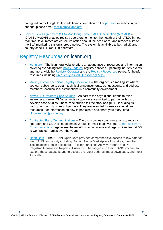configuration for the gTLD. For additional information on the [process](https://www.iana.org/domains/root/manage) for submitting a change, please email [root-mgmt@iana.org](mailto:root-mgmt@iana.org).

• [Service Level Agreement \(SLA\) Monitoring System API Specification](https://www.icann.org/mosapi) (MoSAPI) **–** ICANN's MoSAPI enables registry operators to monitor the health of their gTLDs in near real-time, take immediate corrective action should the need arise, and retrieve a list of the SLA monitoring system's probe nodes. The system is available to both gTLD and country code TLD (ccTLD) operators.

#### <span id="page-9-0"></span>[Registry Resources](https://www.icann.org/resources/pages/registry-resources-2017-09-22-en) on icann.org

- [icann.org](http://icann.org/) **–** The icann.org website offers an abundance of resources and information covering everything from [policy updates,](https://www.icann.org/resources/pages/advisories-policies-2017-10-04-en) registry services, upcoming industry events, and more. Visit the [Registry Operator](https://www.icann.org/resources/pages/registries/registries-en) and the [Registry Resources](https://www.icann.org/resources/pages/registry-resources-2017-09-22-en) pages, for helpful resources including [Frequently Asked Questions \(FAQs\).](https://www.icann.org/resources/pages/registries-faqs-2014-08-08-en)
- [Mailing List for Technical Registry Operations](mailto:%20gtld-tech@icann.org) **–** The org hosts a mailing list where you can subscribe to obtain technical announcements, ask questions, and address members' technical issues/questions in a community environment.
- [New gTLD Program Case Studies](https://newgtlds.icann.org/en/announcements-and-media/case-studies) As part of the org's global efforts to raise awareness of new gTLDs, all registry operators are invited to partner with us to develop case studies. These case studies tell the story of a gTLD, including its background and business objectives. They are intended for use as educational resources. For information on how to participate and share your story, email [globalsupport@icann.org.](mailto:globalsupport@icann.org)
- [Contracted Party Communications](https://www.icann.org/resources/pages/registry-gdd-news-events-2017-10-04-en) **–** The org provides communications to registry operators and GDD stakeholders in various forms. Please visit the [Contracted Party](https://www.icann.org/resources/pages/contracted-party-communications-en)  [Communications](https://www.icann.org/resources/pages/contracted-party-communications-en) page to see the email communications and legal notices from GDD to Contracted Parties over the years.
- [Open Data](https://opendata.icann.org/pages/home-page/) **–** The ICANN Open Data provides comprehensive access to raw data for the ICANN community including Domain Name Marketplace Indicators, Identifier Technologies Health Indicators, Registry Functions Activity Reports and Per-Registrar Transaction Reports. A user must be logged into their ICANN account to explore these datasets, and to access the latest updates, most downloads, and most API calls.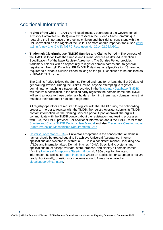#### <span id="page-10-0"></span>Additional Information

- **Rights of the Child –** ICANN reminds all registry operators of the Governmental Advisory Committee's (GAC) view expressed in the Buenos Aires Communiqué regarding the importance of protecting children and their rights, consistent with the UN Convention on the Rights of the Child. For more on this important topic, see entry [#13 in Annex 1 to ICANN NGPC Resolution No. 2014.02.05.NG01.](http://www.icann.org/en/groups/board/documents/resolutions-new-gtld-annex-1-05feb14-en.pdf)
- **Trademark Clearinghouse (TMCH) Sunrise and Claims Period –** The purpose of the TMCH is to facilitate the Sunrise and Claims services as defined in Section 1, Specification 7 of the base Registry Agreement. The Sunrise Period provides trademark holders with an opportunity to register domain names prior to general registration. New gTLDs with a .BRAND TLD designation (Specification 13) are not required to provide a Sunrise Period as long as the gTLD continues to be qualified as a .BRAND TLD by the org.

The Claims Period follows the Sunrise Period and runs for at least the first 90 days of general registration. During the Claims Period, anyone attempting to register a domain name matching a trademark recorded in the [Trademark Database \(TMDB\)](https://newgtlds.icann.org/en/about/trademark-clearinghouse/registries-registrars) will receive a notification. If the notified party registers the domain name, the TMCH will send a notice to those trademark holders informing them that a domain name that matches their trademark has been registered.

All registry operators are required to register with the TMDB during the onboarding process. In order to register with the TMDB, the registry operator submits its TMDB contact information via the Naming Services portal. Upon approval, the org will communicate with the TMDB contact about the registration and testing processes with IBM, the TMDB provider. For additional information about the TMDB, refer to the Sunrise and Claims TMDB [Registry User Manual](http://newgtlds.icann.org/en/about/trademark-clearinghouse/scsvcs/db-registry-06dec13-en.pdf) and also [Trademark Clearinghouse](https://www.icann.org/resources/pages/tmch-requirements-faq-en)  [Rights Protection Mechanisms Requirements FAQ.](https://www.icann.org/resources/pages/tmch-requirements-faq-en)

• [Universal Acceptance \(UA\)](https://www.icann.org/resources/pages/universal-acceptance-2012-02-25-en) **–** Universal Acceptance is the concept that all domain names should be treated equally. To achieve Universal Acceptance, Internet applications and systems must treat all TLDs in a consistent manner, including new gTLDs and Internationalized Domain Names (IDNs). Specifically, systems and applications must accept, validate, store, process, and display all domain names. Visit the [Universal Acceptance Steering Group](https://uasg.tech/) (UASG) page for the latest information, as well as to [report instances](https://uasg.tech/global-support-centre/) where an application or webpage is not UA ready. Additionally, questions or concerns about UA may be emailed to [globalsupport@icann.org.](mailto:globalsupport@icann.org)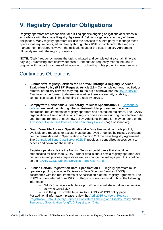## <span id="page-11-0"></span>**V. Registry Operator Obligations**

Registry operators are responsible for fulfilling specific ongoing obligations at all times in accordance with their base Registry Agreement. Below is a general summary of these obligations. Many registry operators will use the services of a third party to manage these operational requirements, either directly through their RSP or combined with a registry management provider. However, the obligations under the base Registry Agreement ultimately rest with the registry operator.

**NOTE**: "Daily" frequency means the task is initiated and completed at a certain time each day, e.g., submitting data escrow deposits. "Continuous" frequency means the task is ongoing with no particular time of initiation, e.g., upholding rights protection mechanisms.

#### <span id="page-11-1"></span>Continuous Obligations

- **Submit New Registry Services for Approval Through a Registry Services Evaluation Policy (RSEP) Request: Article 2.1 –** Contemplated new, modified, or removal of registry services may require the org's approval per the [RSEP service.](https://www.icann.org/resources/pages/rsep-2014-02-19-en) Evaluation is performed to determine whether there are security, stability, or competition issues in implementing the registry service.
- **Comply with Consensus & Temporary Policies: Specification 1 –** [Consensus](https://www.icann.org/resources/pages/registrars/consensus-policies-en)  [policies](https://www.icann.org/resources/pages/registrars/consensus-policies-en) are developed through the multi-stakeholder process and become contractual requirements for registry operators and accredited registrars. The ICANN organization will send notifications to registry operators announcing the effective date and the requirements of each new policy. Additional information may be found on the [Advisories, Consensus Policies, and Temporary Policies](https://www.icann.org/resources/pages/advisories-policies-2017-10-04-en) page on icann.org.
- **Grant Zone File Access: Specification 4 –** Zone files must be made publicly available and requests for access must be approved or denied by registry operators per the terms defined in Specification 4, Section 2 of the base Registry Agreement. The [Centralized Zone Data Server \(CZDS\)](https://czds.icann.org/) provides a centralized access point to access and download these files.

Registry operators define the Naming Services portal users that should be credentialed for access to CZDS. Further details about how a registry operator user can access and process requests as well as change the settings per TLD is defined on the [ICANN CZDS Naming Services Portal User Guide.](https://www.icann.org/en/system/files/files/czds-nsp-user-guide-25jan19-en.pdf)

- **Publish Certain Registration Data: Specification 4 –** Registry operators must operate a publicly available Registration Data Directory Service (RDDS) in accordance with the requirements of Specification 4 of the Registry Agreement. The RDDS is often referred to as WHOIS. Registry operators must publish the following information:
	- WHOIS service available via port 43, and a web-based directory service at <whois.nic.TLD>
	- On the gTLD's website, a link to ICANN's WHOIS policy page

For additional information, please review the [April 2015 Advisory,](https://www.icann.org/resources/pages/registry-agreement-raa-rdds-2015-04-27-en) [Registry](https://www.icann.org/resources/pages/rdds-labeling-policy-2017-02-01-en)  [Registration Data Directory Services Consistent Labeling and Display Policy](https://www.icann.org/resources/pages/rdds-labeling-policy-2017-02-01-en) and the [Temporary Specification for](https://www.icann.org/resources/pages/gtld-registration-data-specs-en) gTLD Registration Data.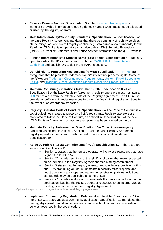- **Reserve Domain Names: Specification 5 –** The [Reserved Names page](https://www.icann.org/resources/pages/reserved-2013-07-08-en) on icann.org provides information regarding domain names which must not be allocated or used by the registry operator.
- **Meet Interoperability/Continuity Standards: Specification 6 –** Specification 6 of the base Registry Agreement mandates that there be continuity of registry services, abuse mitigation, and overall registry continuity (just to name a few standards) for the life of the gTLD. Registry operators must also publish DNS Security Extensions (DNSSEC) Practice Statements and Abuse contact information on the gTLD website.
- **Publish Internationalized Domain Name (IDN) Tables: Specification 6 –** Registry operators who offer IDNs must comply with the [ICANN IDN Implementation](https://www.icann.org/resources/pages/implementation-guidelines-2012-02-25-en)  [Guidelines](https://www.icann.org/resources/pages/implementation-guidelines-2012-02-25-en) and publish IDN tables in the IANA Repository.
- **Uphold Rights Protection Mechanisms (RPMs): Specification 7 –** [RPMs](https://www.icann.org/resources/pages/rpm-drp-2017-10-04-en) are safeguards that help protect trademark owner's intellectual property rights. Some of the RPMs are [Trademark Clearinghouse Requirements,](https://www.icann.org/resources/pages/tmch-requirements-2014-01-09-en) [Uniform Rapid Suspension](https://www.icann.org/resources/pages/urs-2014-01-09-en)  [\(URS\),](https://www.icann.org/resources/pages/urs-2014-01-09-en) and [Trademark Post-Delegation Dispute Resolution Procedures \(PDDRP\).](https://www.icann.org/resources/pages/pddrp-2014-01-09-en)
- **Maintain Continuing Operations Instrument (COI): Specification 8 –** Per Specification 8 of the base Registry Agreement, registry operators must maintain a [COI](https://www.icann.org/resources/pages/coi-2015-09-28-en) for six years from the effective date of the Registry Agreement. The COI must provide for sufficient financial resources to cover the five critical registry functions in the event of an emergency transition.
- **Registry Operator Code of Conduct: Specification 9 –** The Code of Conduct is a set of guidelines created to protect a gTLD's registrants. Registry operators are mandated to follow the Code of Conduct, as defined in Specification 9 of the new gTLD Registry Agreement, unless an exemption has been granted by the org.
- **Maintain Registry Performance: Specification 10 –** To avoid an emergency transition, as defined in Article 2, Section 2.13 of the base Registry Agreement, registry operators must comply with the performance specifications defined in Specification 10.
- **Abide by Public Interest Commitments (PICs): Specification 11 –** There are four sections in Specification 11:
	- Section 1 states that the registry operator will only use registrars that have signed the 2013 RRA
	- Section 2<sup>\*</sup> includes sections of the gTLD application that were requested to be included in the Registry Agreement as a binding commitment
	- Section 3 states that the registry operator must include a provision within the RRA prohibiting abuse, must maintain security threat reports, and must operate in a transparent manner in registration policies. Additional safeguards may be applicable to some gTLDs
	- Section 4\* includes additional commitments that were not included in the application, but that the registry operator requested to be incorporated as binding commitment into their Registry Agreement

\* Optional for applicants, and may not be included in all Registry Agreements.

• **Implement Community Registration Policies, if applicable: Specification 12 –** If the gTLD was approved as a community application, Specification 12 mandates that the registry operator must implement and comply with all community registration policies described in the specification.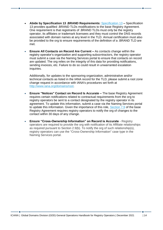- **Abide by Specification 13 .BRAND Requirements:** [Specification 13](https://newgtlds.icann.org/sites/default/files/agreements/agreement-approved-specification-13-21jan21-en.html) **–** Specification 13 provides qualified .BRAND TLDs modifications to the base Registry Agreement. One requirement is that registrants of .BRAND TLDs must only be the registry operator, its affiliates or trademark licensees and they must control the DNS records associated with domain names at any level in the TLD. Annual certification must also be provided to the org to ensure requirements of the definition of a .BRAND TLD are met.
- **Ensure All Contacts on Record Are Current –** As contacts change within the registry operator's organization and supporting subcontractors, the registry operator must submit a case via the Naming Services portal to ensure that contacts on record are updated. The org relies on the integrity of this data for providing notifications, sending invoices, etc. Failure to do so could result in unwarranted escalation inquiries.

Additionally, for updates to the sponsoring organization, administrative and/or technical contacts as listed in the IANA record for the TLD, please submit a root zone change request in accordance with IANA's procedures set forth at [http://www.iana.org/domains/root.](http://www.iana.org/domains/root)

- **Ensure "Notices" Contact on Record Is Accurate –** The base Registry Agreement requires certain notifications related to contractual requirements from the org to registry operators be sent to a contact designated by the registry operator in its agreement. To update this information, submit a case via the Naming Services portal to update this information. Given the importance of this role, [Section 7.9](https://newgtlds.icann.org/sites/default/files/agreements/agreement-approved-31jul17-en.html#article7.9) of the base Registry Agreement requires registry operators to notify the org of changes to the contact within 30 days of any change.
- **Ensure "Cross-Ownership Information" on Record is Accurate** Registry operators are required to provide the org with notification of its Affiliate relationships as required pursuant to Section 2.9(b). To notify the org of such relationship(s), registry operators can use the "Cross-Ownership Information" case type in the Naming Services portal.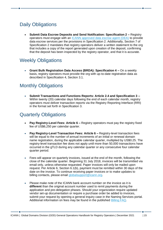### <span id="page-14-0"></span>Daily Obligations

• **Submit Data Escrow Deposits and Send Notification: Specification 2 –** Registry operators must engage with an [ICANN approved data escrow agent \(DEA\)](https://newgtlds.icann.org/en/applicants/data-escrow) to provide data escrow services per the provisions in Specification 2. Additionally, Section 7 of Specification 2 mandates that registry operators deliver a written statement to the org that includes a copy of the report generated upon creation of the deposit, confirming that the deposit has been inspected by the registry operator, and that it is accurate.

#### <span id="page-14-1"></span>Weekly Obligations

• **Grant Bulk Registration Data Access (BRDA): Specification 4 –** On a weekly basis, registry operators must provide the org with up-to-date registration data as described in Specification 4, Section 3.1.

#### <span id="page-14-2"></span>Monthly Obligations

• **Submit Transactions and Functions Reports: Article 2.4 and Specification 3 –** Within twenty (20) calendar days following the end of each calendar month, registry operators must deliver transaction reports via the Registry Reporting Interface (RRI) in the format set forth in Specification 3.

#### <span id="page-14-3"></span>Quarterly Obligations

- **Pay Registry-Level Fees: Article 6 –** Registry operators must pay the registry fixed fee of US\$6,250 per calendar quarter.
- **Pay Registry-Level Transaction Fees: Article 6 –** Registry-level transaction fees will be equal to the number of annual increments of an initial or renewal domain name registration, during the applicable calendar quarter, multiplied by US\$0.25. The registry-level transaction fee does not apply until more than 50,000 transactions have occurred in the gTLD during any calendar quarter or any consecutive four calendar quarter period.
- Fees will appear on quarterly invoices, issued at the end of the month, following the close of the calendar quarter. Beginning 31 July 2018, invoices will be transmitted via email only, unless otherwise requested. Paper invoices will only be mailed upon request. Per Article 6, Section 6.1(b), payment must be remitted within 30 days of the date on the invoice. To continue receiving paper invoices or to make updates to billing contacts, please email [globalsupport@icann.org.](mailto:globalsupport@icann.org)
- Please make note of the ICANN bank account number on the invoice as it is **different** than the original account number used to remit payments during the application and pre-delegation phases. Should your organization require updated vendor set-up documentation or require a purchase order be added to invoices, submit your request by opening a general inquiry case in the Naming Services portal. Additional information on fees may be found in the published **Billing FAQ**.